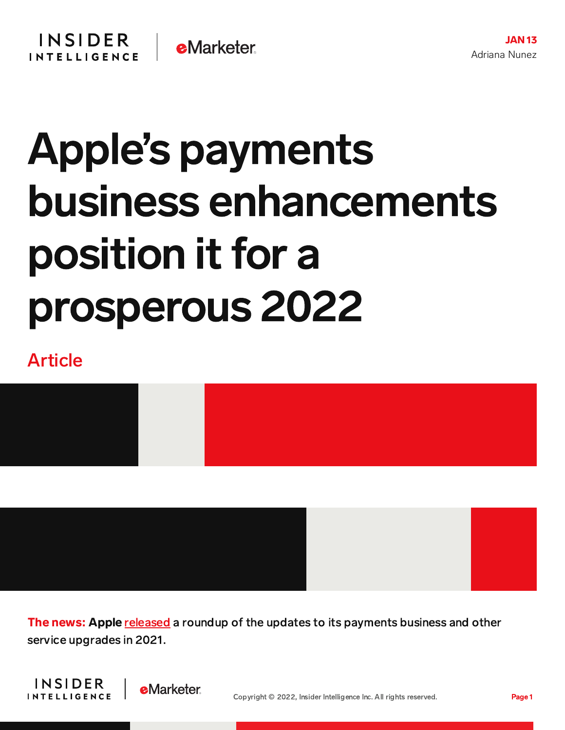## Apple's payments business enhancements position it for a prosperous 2022

## Article



The news: Apple [released](https://www.apple.com/newsroom/2022/01/apple-services-enrich-peoples-lives-throughout-the-year/) a roundup of the updates to its payments business and other service upgrades in 2021.



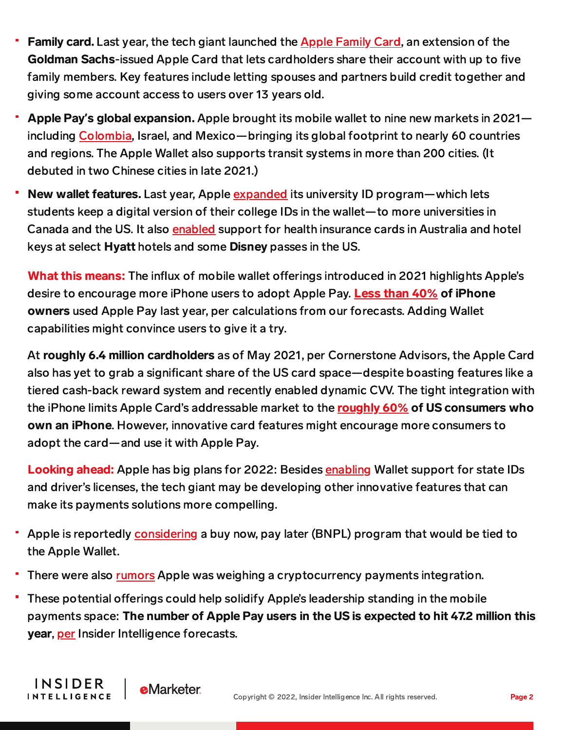- Family card. Last year, the tech giant launched the Apple [Family](https://content-na1.emarketer.com/apple-sheds-more-light-on-apple-family-card) Card, an extension of the Goldman Sachs-issued Apple Card that lets cardholders share their account with up to five family members. Key features include letting spouses and partners build credit together and giving some account access to users over 13 years old.
- Apple Pay**'**s global expansion. Apple brought its mobile wallet to nine new markets in 2021 including [Colombia,](https://content-na1.emarketer.com/apple-pay-rolls-azerbaijan-colombia-costa-rica) Israel, and Mexico—bringing its global footprint to nearly 60 countries and regions. The Apple Wallet also supports transit systems in more than 200 cities. (It debuted in two Chinese cities in late 2021.)
- New wallet features. Last year, Apple [expanded](https://content-na1.emarketer.com/apple-pay-expands-mobile-id-support-students-canada-us) its university ID program—which lets students keep a digital version of their college IDs in the wallet—to more universities in Canada and the US. It also [enabled](https://content-na1.emarketer.com/apple-pay-introduces-support-health-insurance-cards-australia) support for health insurance cards in Australia and hotel keys at select Hyatt hotels and some Disney passes in the US.

What this means: The influx of mobile wallet offerings introduced in 2021 highlights Apple's desire to encourage more iPhone users to adopt Apple Pay. [Less](https://content-na1.emarketer.com/apple-embarks-on-push-bring-more-iphone-users-its-payments-business) than 40% of iPhone owners used Apple Pay last year, per calculations from our forecasts. Adding Wallet capabilities might convince users to give it a try.

At roughly 6.4 million cardholders as of May 2021, per Cornerstone Advisors, the Apple Card also has yet to grab a significant share of the US card space—despite boasting features like a tiered cash-back reward system and recently enabled dynamic CVV. The tight integration with the iPhone limits Apple Card's addressable market to the [roughly](https://gs.statcounter.com/os-market-share/mobile/united-states-of-america/2021) 60% of US consumers who own an iPhone. However, innovative card features might encourage more consumers to adopt the card—and use it with Apple Pay.

Looking ahead: Apple has big plans for 2022: Besides [enabling](https://content-na1.emarketer.com/apple-s-state-id-feature-might-catalyze-apple-pay-use-bolster-ecosystem-engagement) Wallet support for state IDs and driver's licenses, the tech giant may be developing other innovative features that can make its payments solutions more compelling.

- Apple is reportedly [considering](https://content-na1.emarketer.com/apple-plans-bnpl-product-launch-bad-news-incumbent-providers-credit-credits) a buy now, pay later (BNPL) program that would be tied to the Apple Wallet.
- There were also [rumors](https://content-na1.emarketer.com/apple-hints-potential-cryptocurrency-payments-integration-but-it-s-taking-slow) Apple was weighing a cryptocurrency payments integration.
- These potential offerings could help solidify Apple's leadership standing in the mobile payments space: The number of Apple Pay users in the US is expected to hit 47.2 million this year, [per](https://forecasts-na1.emarketer.com/602abc737351f403b84c00a2/5efc3dbf83c627071411ab7f) Insider Intelligence forecasts.